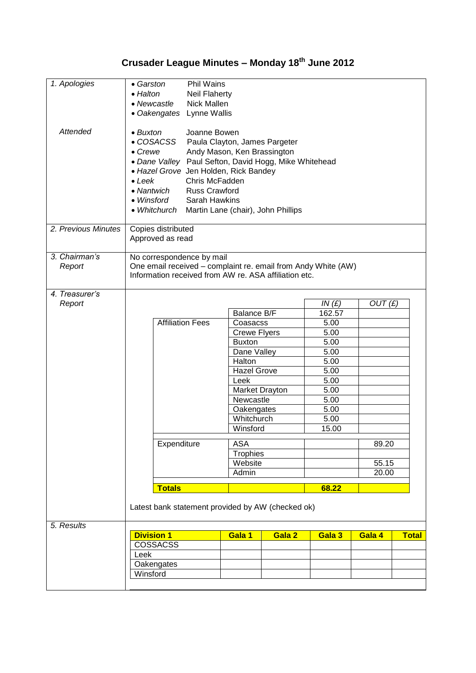## **Crusader League Minutes – Monday 18th June 2012**

| 1. Apologies        | • Garston                                                     |                                                       | Phil Wains              |                                           |        |        |                |              |  |  |  |
|---------------------|---------------------------------------------------------------|-------------------------------------------------------|-------------------------|-------------------------------------------|--------|--------|----------------|--------------|--|--|--|
|                     |                                                               |                                                       |                         |                                           |        |        |                |              |  |  |  |
|                     | • Halton<br><b>Neil Flaherty</b>                              |                                                       |                         |                                           |        |        |                |              |  |  |  |
|                     | • Newcastle<br>Nick Mallen                                    |                                                       |                         |                                           |        |        |                |              |  |  |  |
|                     | • Oakengates<br>Lynne Wallis                                  |                                                       |                         |                                           |        |        |                |              |  |  |  |
|                     |                                                               |                                                       |                         |                                           |        |        |                |              |  |  |  |
| <b>Attended</b>     | Joanne Bowen<br>$\bullet$ Buxton                              |                                                       |                         |                                           |        |        |                |              |  |  |  |
|                     | • COSACSS<br>Paula Clayton, James Pargeter                    |                                                       |                         |                                           |        |        |                |              |  |  |  |
|                     | $\bullet$ Crewe<br>Andy Mason, Ken Brassington                |                                                       |                         |                                           |        |        |                |              |  |  |  |
|                     | • Dane Valley Paul Sefton, David Hogg, Mike Whitehead         |                                                       |                         |                                           |        |        |                |              |  |  |  |
|                     | • Hazel Grove Jen Holden, Rick Bandey                         |                                                       |                         |                                           |        |        |                |              |  |  |  |
|                     | Chris McFadden<br>$\bullet$ Leek                              |                                                       |                         |                                           |        |        |                |              |  |  |  |
|                     | <b>Russ Crawford</b><br>• Nantwich                            |                                                       |                         |                                           |        |        |                |              |  |  |  |
|                     | • Winsford<br>Sarah Hawkins                                   |                                                       |                         |                                           |        |        |                |              |  |  |  |
|                     | • Whitchurch<br>Martin Lane (chair), John Phillips            |                                                       |                         |                                           |        |        |                |              |  |  |  |
|                     |                                                               |                                                       |                         |                                           |        |        |                |              |  |  |  |
| 2. Previous Minutes | Copies distributed                                            |                                                       |                         |                                           |        |        |                |              |  |  |  |
|                     | Approved as read                                              |                                                       |                         |                                           |        |        |                |              |  |  |  |
|                     |                                                               |                                                       |                         |                                           |        |        |                |              |  |  |  |
| 3. Chairman's       | No correspondence by mail                                     |                                                       |                         |                                           |        |        |                |              |  |  |  |
| Report              | One email received - complaint re. email from Andy White (AW) |                                                       |                         |                                           |        |        |                |              |  |  |  |
|                     |                                                               | Information received from AW re. ASA affiliation etc. |                         |                                           |        |        |                |              |  |  |  |
|                     |                                                               |                                                       |                         |                                           |        |        |                |              |  |  |  |
| 4. Treasurer's      |                                                               |                                                       |                         |                                           |        |        |                |              |  |  |  |
| Report              |                                                               |                                                       |                         |                                           |        | IN(E)  | OUT(E)         |              |  |  |  |
|                     |                                                               |                                                       |                         | Balance B/F                               |        | 162.57 |                |              |  |  |  |
|                     |                                                               |                                                       | <b>Affiliation Fees</b> | Coasacss                                  |        | 5.00   |                |              |  |  |  |
|                     |                                                               |                                                       |                         | <b>Crewe Flyers</b>                       |        | 5.00   |                |              |  |  |  |
|                     |                                                               |                                                       |                         | <b>Buxton</b>                             |        | 5.00   |                |              |  |  |  |
|                     |                                                               |                                                       |                         | Dane Valley                               |        | 5.00   |                |              |  |  |  |
|                     |                                                               |                                                       |                         | Halton                                    |        | 5.00   |                |              |  |  |  |
|                     |                                                               |                                                       |                         | <b>Hazel Grove</b>                        |        | 5.00   |                |              |  |  |  |
|                     |                                                               |                                                       |                         | Leek                                      |        | 5.00   |                |              |  |  |  |
|                     |                                                               |                                                       |                         | Market Drayton<br>Newcastle<br>Oakengates |        | 5.00   |                |              |  |  |  |
|                     |                                                               |                                                       |                         |                                           |        | 5.00   |                |              |  |  |  |
|                     |                                                               |                                                       |                         |                                           |        | 5.00   |                |              |  |  |  |
|                     |                                                               |                                                       |                         | Whitchurch                                |        | 5.00   |                |              |  |  |  |
|                     |                                                               |                                                       |                         | Winsford                                  |        | 15.00  |                |              |  |  |  |
|                     |                                                               |                                                       |                         |                                           |        |        |                |              |  |  |  |
|                     |                                                               | Expenditure                                           | <b>ASA</b>              |                                           |        |        | 89.20          |              |  |  |  |
|                     |                                                               |                                                       |                         | <b>Trophies</b><br>Website<br>Admin       |        |        |                |              |  |  |  |
|                     |                                                               |                                                       |                         |                                           |        |        | 55.15<br>20.00 |              |  |  |  |
|                     |                                                               |                                                       |                         |                                           |        |        |                |              |  |  |  |
|                     |                                                               | <b>Totals</b>                                         |                         |                                           |        | 68.22  |                |              |  |  |  |
|                     |                                                               |                                                       |                         |                                           |        |        |                |              |  |  |  |
|                     | Latest bank statement provided by AW (checked ok)             |                                                       |                         |                                           |        |        |                |              |  |  |  |
|                     |                                                               |                                                       |                         |                                           |        |        |                |              |  |  |  |
| 5. Results          |                                                               |                                                       |                         |                                           |        |        |                |              |  |  |  |
|                     | <b>Division 1</b>                                             |                                                       |                         | Gala 1                                    | Gala 2 | Gala 3 | Gala 4         | <b>Total</b> |  |  |  |
|                     |                                                               | <b>COSSACSS</b>                                       |                         |                                           |        |        |                |              |  |  |  |
|                     | Leek                                                          |                                                       |                         |                                           |        |        |                |              |  |  |  |
|                     |                                                               | Oakengates                                            |                         |                                           |        |        |                |              |  |  |  |
|                     | Winsford                                                      |                                                       |                         |                                           |        |        |                |              |  |  |  |
|                     |                                                               |                                                       |                         |                                           |        |        |                |              |  |  |  |